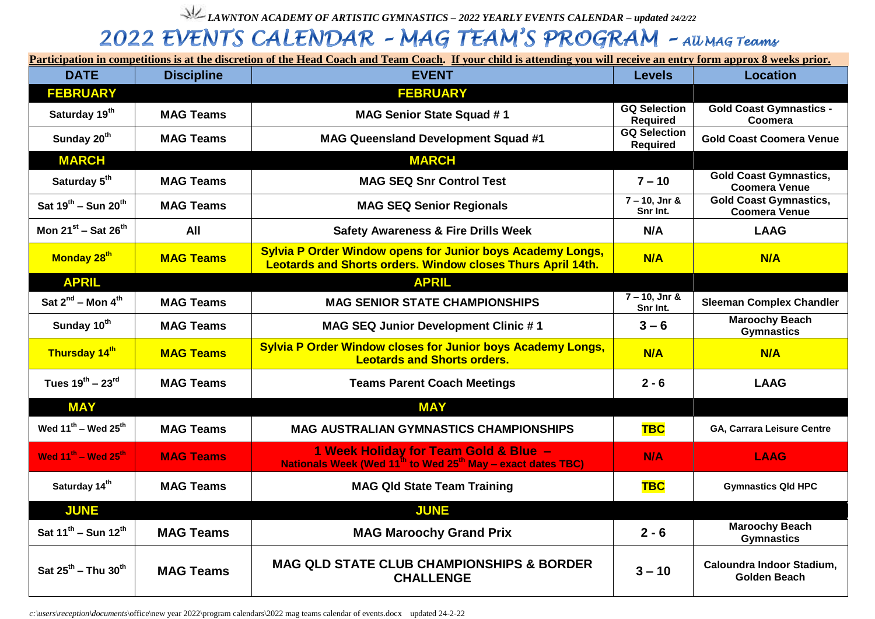*LAWNTON ACADEMY OF ARTISTIC GYMNASTICS – 2022 YEARLY EVENTS CALENDAR – updated 24/2/22*

## 2022 EVENTS CALENDAR - MAG TEAM'S PROGRAM - All MAG Teams

**Participation in competitions is at the discretion of the Head Coach and Team Coach. If your child is attending you will receive an entry form approx 8 weeks prior.**

| <b>DATE</b>                                 | <b>Discipline</b> | <b>EVENT</b>                                                                                                                            | <b>Levels</b>                          | <b>Location</b>                                       |
|---------------------------------------------|-------------------|-----------------------------------------------------------------------------------------------------------------------------------------|----------------------------------------|-------------------------------------------------------|
| <b>FEBRUARY</b>                             |                   | <b>FEBRUARY</b>                                                                                                                         |                                        |                                                       |
| Saturday 19 <sup>th</sup>                   | <b>MAG Teams</b>  | <b>MAG Senior State Squad #1</b>                                                                                                        | <b>GQ Selection</b><br><b>Required</b> | <b>Gold Coast Gymnastics -</b><br>Coomera             |
| Sunday 20 <sup>th</sup>                     | <b>MAG Teams</b>  | <b>MAG Queensland Development Squad #1</b>                                                                                              | <b>GQ Selection</b><br><b>Required</b> | <b>Gold Coast Coomera Venue</b>                       |
| <b>MARCH</b>                                |                   | <b>MARCH</b>                                                                                                                            |                                        |                                                       |
| Saturday 5 <sup>th</sup>                    | <b>MAG Teams</b>  | <b>MAG SEQ Snr Control Test</b>                                                                                                         | $7 - 10$                               | <b>Gold Coast Gymnastics,</b><br><b>Coomera Venue</b> |
| Sat $19^{th}$ – Sun $20^{th}$               | <b>MAG Teams</b>  | <b>MAG SEQ Senior Regionals</b>                                                                                                         | $7 - 10$ , Jnr &<br>Snr Int.           | <b>Gold Coast Gymnastics,</b><br><b>Coomera Venue</b> |
| Mon $21^{st}$ – Sat $26^{th}$               | All               | <b>Safety Awareness &amp; Fire Drills Week</b>                                                                                          | N/A                                    | <b>LAAG</b>                                           |
| Monday 28 <sup>th</sup>                     | <b>MAG Teams</b>  | <b>Sylvia P Order Window opens for Junior boys Academy Longs,</b><br><b>Leotards and Shorts orders. Window closes Thurs April 14th.</b> | N/A                                    | N/A                                                   |
| <b>APRIL</b>                                |                   | <b>APRIL</b>                                                                                                                            |                                        |                                                       |
| Sat $2^{nd}$ – Mon $4^{th}$                 | <b>MAG Teams</b>  | <b>MAG SENIOR STATE CHAMPIONSHIPS</b>                                                                                                   | $7 - 10$ , Jnr &<br>Snr Int.           | <b>Sleeman Complex Chandler</b>                       |
| Sunday 10 <sup>th</sup>                     | <b>MAG Teams</b>  | <b>MAG SEQ Junior Development Clinic #1</b>                                                                                             | $3 - 6$                                | <b>Maroochy Beach</b><br><b>Gymnastics</b>            |
| Thursday 14th                               | <b>MAG Teams</b>  | <b>Sylvia P Order Window closes for Junior boys Academy Longs,</b><br><b>Leotards and Shorts orders.</b>                                | N/A                                    | N/A                                                   |
| Tues $19^{th} - 23^{rd}$                    | <b>MAG Teams</b>  | <b>Teams Parent Coach Meetings</b>                                                                                                      | $2 - 6$                                | <b>LAAG</b>                                           |
| <b>MAY</b>                                  |                   | <b>MAY</b>                                                                                                                              |                                        |                                                       |
| Wed $11^{th}$ – Wed $25^{th}$               | <b>MAG Teams</b>  | <b>MAG AUSTRALIAN GYMNASTICS CHAMPIONSHIPS</b>                                                                                          | <b>TBC</b>                             | GA, Carrara Leisure Centre                            |
| Wed 11 <sup>th</sup> - Wed 25 <sup>th</sup> | <b>MAG Teams</b>  | 1 Week Holiday for Team Gold & Blue -<br>Nationals Week (Wed 11 <sup>th</sup> to Wed 25 <sup>th</sup> May - exact dates TBC)            | <b>N/A</b>                             | <b>LAAG</b>                                           |
| Saturday 14th                               | <b>MAG Teams</b>  | <b>MAG Qld State Team Training</b>                                                                                                      | <b>TBC</b>                             | <b>Gymnastics Qld HPC</b>                             |
| <b>JUNE</b>                                 |                   | <b>JUNE</b>                                                                                                                             |                                        |                                                       |
| Sat $11^{th}$ – Sun $12^{th}$               | <b>MAG Teams</b>  | <b>MAG Maroochy Grand Prix</b>                                                                                                          | $2 - 6$                                | <b>Maroochy Beach</b><br><b>Gymnastics</b>            |
| Sat $25^{th}$ – Thu $30^{th}$               | <b>MAG Teams</b>  | <b>MAG QLD STATE CLUB CHAMPIONSHIPS &amp; BORDER</b><br><b>CHALLENGE</b>                                                                | $3 - 10$                               | Caloundra Indoor Stadium,<br>Golden Beach             |

*c:\users\reception\documents*\office\new year 2022\program calendars\2022 mag teams calendar of events.docx updated 24-2-22